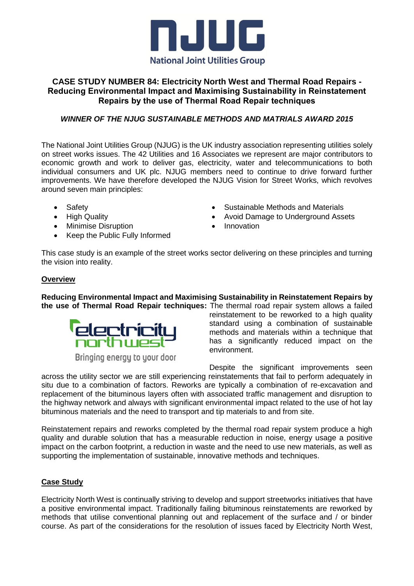

# **CASE STUDY NUMBER 84: Electricity North West and Thermal Road Repairs - Reducing Environmental Impact and Maximising Sustainability in Reinstatement Repairs by the use of Thermal Road Repair techniques**

## *WINNER OF THE NJUG SUSTAINABLE METHODS AND MATRIALS AWARD 2015*

The National Joint Utilities Group (NJUG) is the UK industry association representing utilities solely on street works issues. The 42 Utilities and 16 Associates we represent are major contributors to economic growth and work to deliver gas, electricity, water and telecommunications to both individual consumers and UK plc. NJUG members need to continue to drive forward further improvements. We have therefore developed the NJUG Vision for Street Works, which revolves around seven main principles:

- Safety
- High Quality
- Minimise Disruption
- Keep the Public Fully Informed
- Sustainable Methods and Materials
- Avoid Damage to Underground Assets
- Innovation

This case study is an example of the street works sector delivering on these principles and turning the vision into reality.

## **Overview**

**Reducing Environmental Impact and Maximising Sustainability in Reinstatement Repairs by the use of Thermal Road Repair techniques:** The thermal road repair system allows a failed



Bringing energy to your door

reinstatement to be reworked to a high quality standard using a combination of sustainable methods and materials within a technique that has a significantly reduced impact on the environment.

Despite the significant improvements seen

across the utility sector we are still experiencing reinstatements that fail to perform adequately in situ due to a combination of factors. Reworks are typically a combination of re-excavation and replacement of the bituminous layers often with associated traffic management and disruption to the highway network and always with significant environmental impact related to the use of hot lay bituminous materials and the need to transport and tip materials to and from site.

Reinstatement repairs and reworks completed by the thermal road repair system produce a high quality and durable solution that has a measurable reduction in noise, energy usage a positive impact on the carbon footprint, a reduction in waste and the need to use new materials, as well as supporting the implementation of sustainable, innovative methods and techniques.

#### **Case Study**

Electricity North West is continually striving to develop and support streetworks initiatives that have a positive environmental impact. Traditionally failing bituminous reinstatements are reworked by methods that utilise conventional planning out and replacement of the surface and / or binder course. As part of the considerations for the resolution of issues faced by Electricity North West,